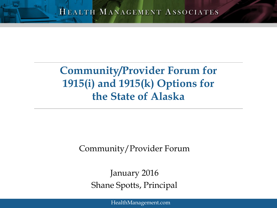#### **Community/Provider Forum for 1915(i) and 1915(k) Options for the State of Alaska**

#### Community/Provider Forum

January 2016 Shane Spotts, Principal

[HealthManagement.com](http://www.healthmanagement.com)

HMA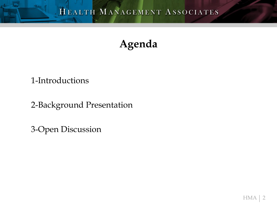#### **Agenda**

#### 1-Introductions

2-Background Presentation

3-Open Discussion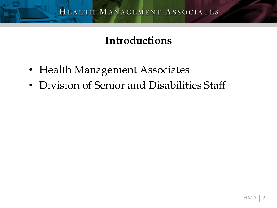#### **Introductions**

- Health Management Associates
- Division of Senior and Disabilities Staff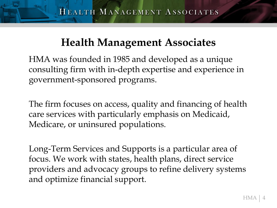#### **Health Management Associates**

HMA was founded in 1985 and developed as a unique consulting firm with in-depth expertise and experience in government-sponsored programs.

The firm focuses on access, quality and financing of health care services with particularly emphasis on Medicaid, Medicare, or uninsured populations.

Long-Term Services and Supports is a particular area of focus. We work with states, health plans, direct service providers and advocacy groups to refine delivery systems and optimize financial support.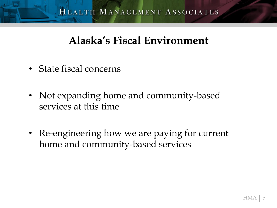#### **Alaska's Fiscal Environment**

- State fiscal concerns
- Not expanding home and community-based services at this time
- Re-engineering how we are paying for current home and community-based services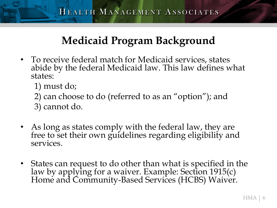### **Medicaid Program Background**

- To receive federal match for Medicaid services, states abide by the federal Medicaid law. This law defines what states:
	- 1) must do;
	- 2) can choose to do (referred to as an "option"); and
	- 3) cannot do.
- As long as states comply with the federal law, they are free to set their own guidelines regarding eligibility and services.
- States can request to do other than what is specified in the law by applying for a waiver. Example: Section 1915(c) Home and Community-Based Services (HCBS) Waiver.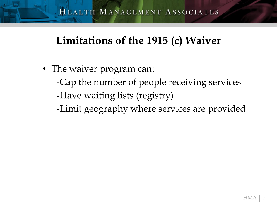#### **Limitations of the 1915 (c) Waiver**

• The waiver program can: -Cap the number of people receiving services -Have waiting lists (registry) -Limit geography where services are provided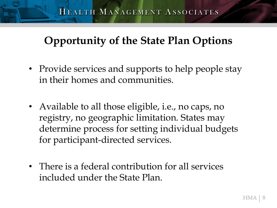#### **Opportunity of the State Plan Options**

- Provide services and supports to help people stay in their homes and communities.
- Available to all those eligible, i.e., no caps, no registry, no geographic limitation. States may determine process for setting individual budgets for participant-directed services.
- There is a federal contribution for all services included under the State Plan.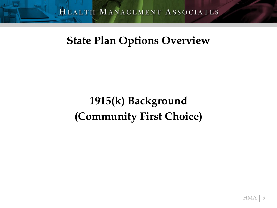#### **State Plan Options Overview**

# **1915(k) Background (Community First Choice)**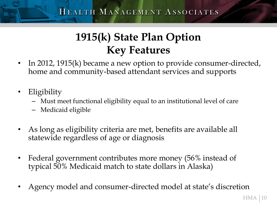### **1915(k) State Plan Option Key Features**

- In 2012, 1915(k) became a new option to provide consumer-directed, home and community-based attendant services and supports
- **Eligibility** 
	- Must meet functional eligibility equal to an institutional level of care
	- Medicaid eligible
- As long as eligibility criteria are met, benefits are available all statewide regardless of age or diagnosis
- Federal government contributes more money (56% instead of typical 50% Medicaid match to state dollars in Alaska)
- Agency model and consumer-directed model at state's discretion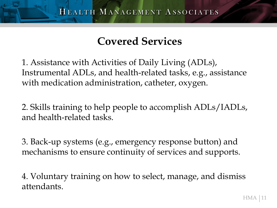#### **Covered Services**

1. Assistance with Activities of Daily Living (ADLs), Instrumental ADLs, and health-related tasks, e.g., assistance with medication administration, catheter, oxygen.

2. Skills training to help people to accomplish ADLs/IADLs, and health-related tasks.

3. Back-up systems (e.g., emergency response button) and mechanisms to ensure continuity of services and supports.

4. Voluntary training on how to select, manage, and dismiss attendants.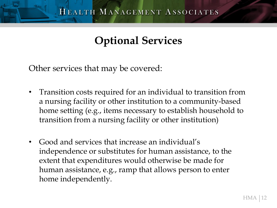#### **Optional Services**

Other services that may be covered:

- Transition costs required for an individual to transition from a nursing facility or other institution to a community-based home setting (e.g., items necessary to establish household to transition from a nursing facility or other institution)
- Good and services that increase an individual's independence or substitutes for human assistance, to the extent that expenditures would otherwise be made for human assistance, e.g., ramp that allows person to enter home independently.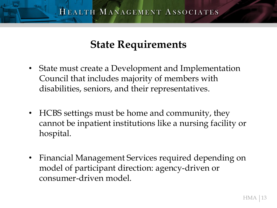#### **State Requirements**

- State must create a Development and Implementation Council that includes majority of members with disabilities, seniors, and their representatives.
- HCBS settings must be home and community, they cannot be inpatient institutions like a nursing facility or hospital.
- Financial Management Services required depending on model of participant direction: agency-driven or consumer-driven model.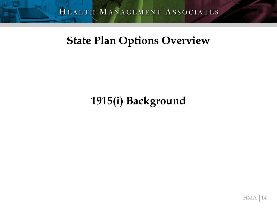#### **State Plan Options Overview**

#### **1915(i) Background**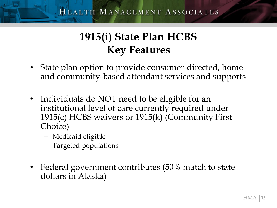### **1915(i) State Plan HCBS Key Features**

- State plan option to provide consumer-directed, homeand community-based attendant services and supports
- Individuals do NOT need to be eligible for an institutional level of care currently required under 1915(c) HCBS waivers or 1915(k) (Community First Choice)
	- Medicaid eligible
	- Targeted populations
- Federal government contributes (50% match to state dollars in Alaska)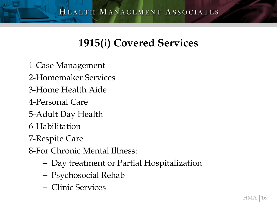### **1915(i) Covered Services**

1-Case Management

- 2-Homemaker Services
- 3-Home Health Aide
- 4-Personal Care
- 5-Adult Day Health
- 6-Habilitation
- 7-Respite Care

8-For Chronic Mental Illness:

- Day treatment or Partial Hospitalization
- Psychosocial Rehab
- Clinic Services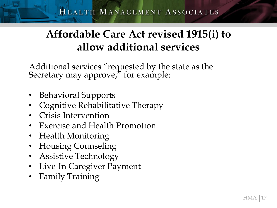#### **Affordable Care Act revised 1915(i) to allow additional services**

Additional services "requested by the state as the Secretary may approve," for example:

- Behavioral Supports
- Cognitive Rehabilitative Therapy
- Crisis Intervention
- Exercise and Health Promotion
- Health Monitoring
- Housing Counseling
- Assistive Technology
- Live-In Caregiver Payment
- Family Training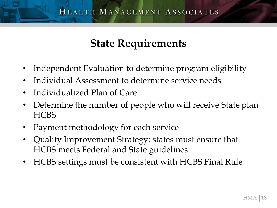#### **State Requirements**

- Independent Evaluation to determine program eligibility
- Individual Assessment to determine service needs
- Individualized Plan of Care
- Determine the number of people who will receive State plan **HCBS**
- Payment methodology for each service
- Quality Improvement Strategy: states must ensure that HCBS meets Federal and State guidelines
- HCBS settings must be consistent with HCBS Final Rule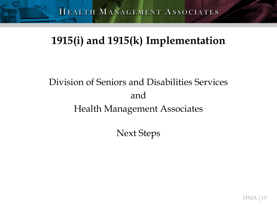### **1915(i) and 1915(k) Implementation**

## Division of Seniors and Disabilities Services and Health Management Associates

Next Steps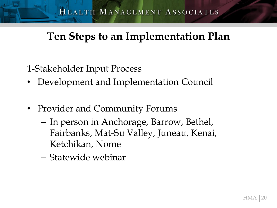### **Ten Steps to an Implementation Plan**

- 1-Stakeholder Input Process
- Development and Implementation Council
- Provider and Community Forums
	- In person in Anchorage, Barrow, Bethel, Fairbanks, Mat-Su Valley, Juneau, Kenai, Ketchikan, Nome
	- Statewide webinar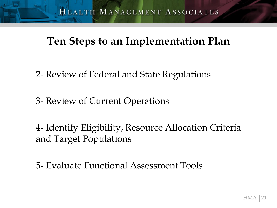#### **Ten Steps to an Implementation Plan**

- 2- Review of Federal and State Regulations
- 3- Review of Current Operations
- 4- Identify Eligibility, Resource Allocation Criteria and Target Populations
- 5- Evaluate Functional Assessment Tools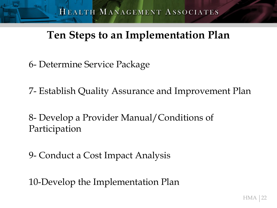### **Ten Steps to an Implementation Plan**

6- Determine Service Package

7- Establish Quality Assurance and Improvement Plan

8- Develop a Provider Manual/Conditions of Participation

9- Conduct a Cost Impact Analysis

10-Develop the Implementation Plan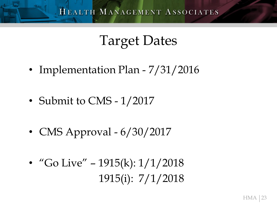# Target Dates

- Implementation Plan 7/31/2016
- Submit to CMS 1/2017
- CMS Approval  $6/30/2017$
- "Go Live" 1915(k):  $1/1/2018$ 1915(i): 7/1/2018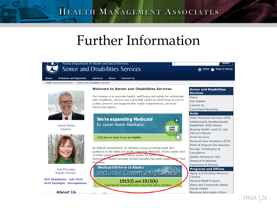#### HEALTH MANAGEMENT ASSOCIATES

# Further Information

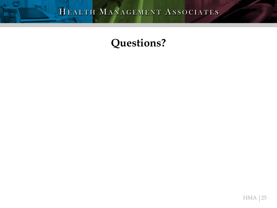#### **Questions?**